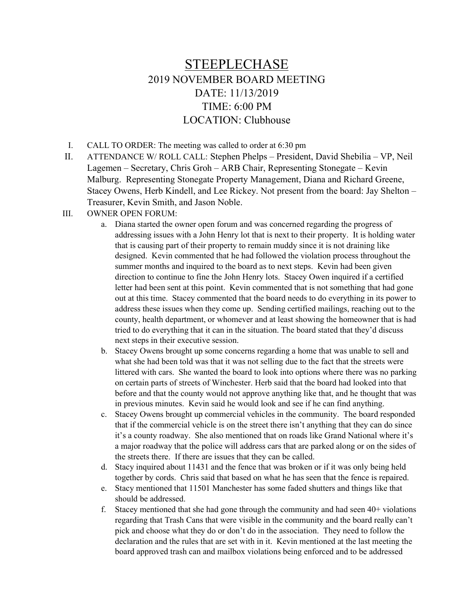## STEEPLECHASE 2019 NOVEMBER BOARD MEETING DATE: 11/13/2019 TIME: 6:00 PM LOCATION: Clubhouse

- I. CALL TO ORDER: The meeting was called to order at 6:30 pm
- II. ATTENDANCE W/ ROLL CALL: Stephen Phelps President, David Shebilia VP, Neil Lagemen – Secretary, Chris Groh – ARB Chair, Representing Stonegate – Kevin Malburg. Representing Stonegate Property Management, Diana and Richard Greene, Stacey Owens, Herb Kindell, and Lee Rickey. Not present from the board: Jay Shelton – Treasurer, Kevin Smith, and Jason Noble.
- III. OWNER OPEN FORUM:
	- a. Diana started the owner open forum and was concerned regarding the progress of addressing issues with a John Henry lot that is next to their property. It is holding water that is causing part of their property to remain muddy since it is not draining like designed. Kevin commented that he had followed the violation process throughout the summer months and inquired to the board as to next steps. Kevin had been given direction to continue to fine the John Henry lots. Stacey Owen inquired if a certified letter had been sent at this point. Kevin commented that is not something that had gone out at this time. Stacey commented that the board needs to do everything in its power to address these issues when they come up. Sending certified mailings, reaching out to the county, health department, or whomever and at least showing the homeowner that is had tried to do everything that it can in the situation. The board stated that they'd discuss next steps in their executive session.
	- b. Stacey Owens brought up some concerns regarding a home that was unable to sell and what she had been told was that it was not selling due to the fact that the streets were littered with cars. She wanted the board to look into options where there was no parking on certain parts of streets of Winchester. Herb said that the board had looked into that before and that the county would not approve anything like that, and he thought that was in previous minutes. Kevin said he would look and see if he can find anything.
	- c. Stacey Owens brought up commercial vehicles in the community. The board responded that if the commercial vehicle is on the street there isn't anything that they can do since it's a county roadway. She also mentioned that on roads like Grand National where it's a major roadway that the police will address cars that are parked along or on the sides of the streets there. If there are issues that they can be called.
	- d. Stacy inquired about 11431 and the fence that was broken or if it was only being held together by cords. Chris said that based on what he has seen that the fence is repaired.
	- e. Stacy mentioned that 11501 Manchester has some faded shutters and things like that should be addressed.
	- f. Stacey mentioned that she had gone through the community and had seen 40+ violations regarding that Trash Cans that were visible in the community and the board really can't pick and choose what they do or don't do in the association. They need to follow the declaration and the rules that are set with in it. Kevin mentioned at the last meeting the board approved trash can and mailbox violations being enforced and to be addressed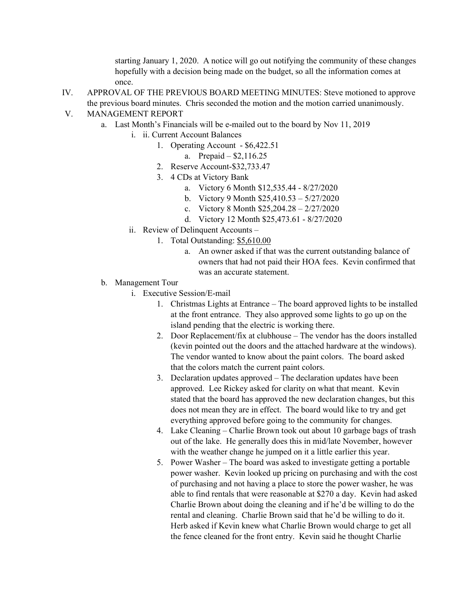starting January 1, 2020. A notice will go out notifying the community of these changes hopefully with a decision being made on the budget, so all the information comes at once.

- IV. APPROVAL OF THE PREVIOUS BOARD MEETING MINUTES: Steve motioned to approve the previous board minutes. Chris seconded the motion and the motion carried unanimously.
- V. MANAGEMENT REPORT
	- a. Last Month's Financials will be e-mailed out to the board by Nov 11, 2019
		- i. ii. Current Account Balances
			- 1. Operating Account \$6,422.51
				- a. Prepaid \$2,116.25
			- 2. Reserve Account-\$32,733.47
			- 3. 4 CDs at Victory Bank
				- a. Victory 6 Month \$12,535.44 8/27/2020
				- b. Victory 9 Month \$25,410.53 5/27/2020
				- c. Victory 8 Month \$25,204.28 2/27/2020
				- d. Victory 12 Month \$25,473.61 8/27/2020
		- ii. Review of Delinquent Accounts
			- 1. Total Outstanding: \$5,610.00
				- a. An owner asked if that was the current outstanding balance of owners that had not paid their HOA fees. Kevin confirmed that was an accurate statement.
	- b. Management Tour
		- i. Executive Session/E-mail
			- 1. Christmas Lights at Entrance The board approved lights to be installed at the front entrance. They also approved some lights to go up on the island pending that the electric is working there.
			- 2. Door Replacement/fix at clubhouse The vendor has the doors installed (kevin pointed out the doors and the attached hardware at the windows). The vendor wanted to know about the paint colors. The board asked that the colors match the current paint colors.
			- 3. Declaration updates approved The declaration updates have been approved. Lee Rickey asked for clarity on what that meant. Kevin stated that the board has approved the new declaration changes, but this does not mean they are in effect. The board would like to try and get everything approved before going to the community for changes.
			- 4. Lake Cleaning Charlie Brown took out about 10 garbage bags of trash out of the lake. He generally does this in mid/late November, however with the weather change he jumped on it a little earlier this year.
			- 5. Power Washer The board was asked to investigate getting a portable power washer. Kevin looked up pricing on purchasing and with the cost of purchasing and not having a place to store the power washer, he was able to find rentals that were reasonable at \$270 a day. Kevin had asked Charlie Brown about doing the cleaning and if he'd be willing to do the rental and cleaning. Charlie Brown said that he'd be willing to do it. Herb asked if Kevin knew what Charlie Brown would charge to get all the fence cleaned for the front entry. Kevin said he thought Charlie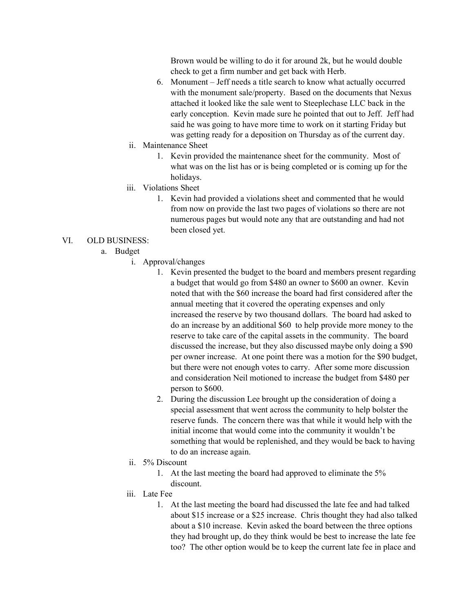Brown would be willing to do it for around 2k, but he would double check to get a firm number and get back with Herb.

- 6. Monument Jeff needs a title search to know what actually occurred with the monument sale/property. Based on the documents that Nexus attached it looked like the sale went to Steeplechase LLC back in the early conception. Kevin made sure he pointed that out to Jeff. Jeff had said he was going to have more time to work on it starting Friday but was getting ready for a deposition on Thursday as of the current day.
- ii. Maintenance Sheet
	- 1. Kevin provided the maintenance sheet for the community. Most of what was on the list has or is being completed or is coming up for the holidays.
- iii. Violations Sheet
	- 1. Kevin had provided a violations sheet and commented that he would from now on provide the last two pages of violations so there are not numerous pages but would note any that are outstanding and had not been closed yet.

## VI. OLD BUSINESS:

- a. Budget
	- i. Approval/changes
		- 1. Kevin presented the budget to the board and members present regarding a budget that would go from \$480 an owner to \$600 an owner. Kevin noted that with the \$60 increase the board had first considered after the annual meeting that it covered the operating expenses and only increased the reserve by two thousand dollars. The board had asked to do an increase by an additional \$60 to help provide more money to the reserve to take care of the capital assets in the community. The board discussed the increase, but they also discussed maybe only doing a \$90 per owner increase. At one point there was a motion for the \$90 budget, but there were not enough votes to carry. After some more discussion and consideration Neil motioned to increase the budget from \$480 per person to \$600.
		- 2. During the discussion Lee brought up the consideration of doing a special assessment that went across the community to help bolster the reserve funds. The concern there was that while it would help with the initial income that would come into the community it wouldn't be something that would be replenished, and they would be back to having to do an increase again.
	- ii. 5% Discount
		- 1. At the last meeting the board had approved to eliminate the 5% discount.
	- iii. Late Fee
		- 1. At the last meeting the board had discussed the late fee and had talked about \$15 increase or a \$25 increase. Chris thought they had also talked about a \$10 increase. Kevin asked the board between the three options they had brought up, do they think would be best to increase the late fee too? The other option would be to keep the current late fee in place and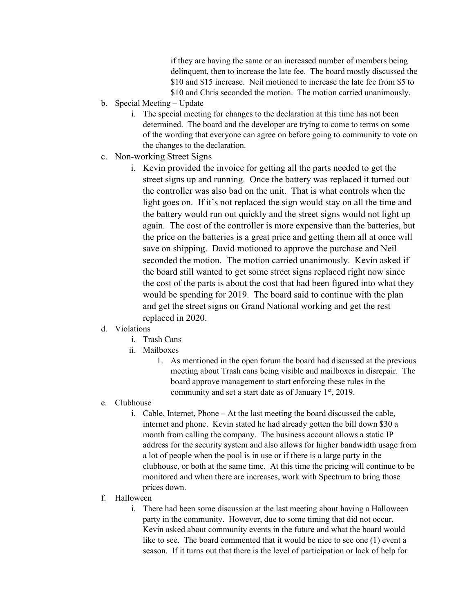if they are having the same or an increased number of members being delinquent, then to increase the late fee. The board mostly discussed the \$10 and \$15 increase. Neil motioned to increase the late fee from \$5 to \$10 and Chris seconded the motion. The motion carried unanimously.

- b. Special Meeting Update
	- i. The special meeting for changes to the declaration at this time has not been determined. The board and the developer are trying to come to terms on some of the wording that everyone can agree on before going to community to vote on the changes to the declaration.
- c. Non-working Street Signs
	- i. Kevin provided the invoice for getting all the parts needed to get the street signs up and running. Once the battery was replaced it turned out the controller was also bad on the unit. That is what controls when the light goes on. If it's not replaced the sign would stay on all the time and the battery would run out quickly and the street signs would not light up again. The cost of the controller is more expensive than the batteries, but the price on the batteries is a great price and getting them all at once will save on shipping. David motioned to approve the purchase and Neil seconded the motion. The motion carried unanimously. Kevin asked if the board still wanted to get some street signs replaced right now since the cost of the parts is about the cost that had been figured into what they would be spending for 2019. The board said to continue with the plan and get the street signs on Grand National working and get the rest replaced in 2020.
- d. Violations
	- i. Trash Cans
	- ii. Mailboxes
		- 1. As mentioned in the open forum the board had discussed at the previous meeting about Trash cans being visible and mailboxes in disrepair. The board approve management to start enforcing these rules in the community and set a start date as of January  $1<sup>st</sup>$ , 2019.
- e. Clubhouse
	- i. Cable, Internet, Phone At the last meeting the board discussed the cable, internet and phone. Kevin stated he had already gotten the bill down \$30 a month from calling the company. The business account allows a static IP address for the security system and also allows for higher bandwidth usage from a lot of people when the pool is in use or if there is a large party in the clubhouse, or both at the same time. At this time the pricing will continue to be monitored and when there are increases, work with Spectrum to bring those prices down.
- f. Halloween
	- i. There had been some discussion at the last meeting about having a Halloween party in the community. However, due to some timing that did not occur. Kevin asked about community events in the future and what the board would like to see. The board commented that it would be nice to see one (1) event a season. If it turns out that there is the level of participation or lack of help for